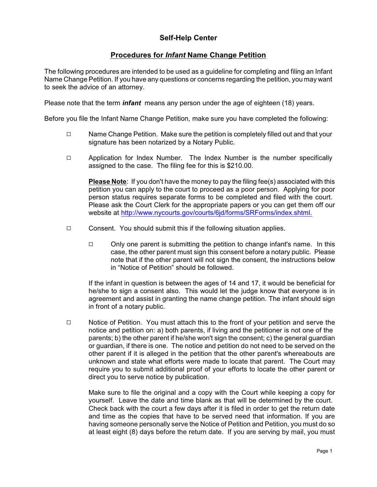## **Self-Help Center**

## **Procedures for** *Infant* **Name Change Petition**

The following procedures are intended to be used as a guideline for completing and filing an Infant Name Change Petition. If you have any questions or concerns regarding the petition, you may want to seek the advice of an attorney.

Please note that the term *infant* means any person under the age of eighteen (18) years.

Before you file the Infant Name Change Petition, make sure you have completed the following:

- $\Box$  Name Change Petition. Make sure the petition is completely filled out and that your signature has been notarized by a Notary Public.
- $\Box$  Application for Index Number. The Index Number is the number specifically assigned to the case. The filing fee for this is \$210.00.

**Please Note**: If you don't have the money to pay the filing fee(s) associated with this petition you can apply to the court to proceed as a poor person. Applying for poor person status requires separate forms to be completed and filed with the court. Please ask the Court Clerk for the appropriate papers or you can get them off our website at <http://www.nycourts.gov/courts/6jd/forms/SRForms/index.shtml.>

- $\Box$  Consent. You should submit this if the following situation applies.
	- $\Box$  Only one parent is submitting the petition to change infant's name. In this case, the other parent must sign this consent before a notary public. Please note that if the other parent will not sign the consent, the instructions below in "Notice of Petition" should be followed.

If the infant in question is between the ages of 14 and 17, it would be beneficial for he/she to sign a consent also. This would let the judge know that everyone is in agreement and assist in granting the name change petition. The infant should sign in front of a notary public.

 $\Box$  Notice of Petition. You must attach this to the front of your petition and serve the notice and petition on: a) both parents, if living and the petitioner is not one of the parents; b) the other parent if he/she won't sign the consent; c) the general guardian or guardian, if there is one. The notice and petition do not need to be served on the other parent if it is alleged in the petition that the other parent's whereabouts are unknown and state what efforts were made to locate that parent. The Court may require you to submit additional proof of your efforts to locate the other parent or direct you to serve notice by publication.

Make sure to file the original and a copy with the Court while keeping a copy for yourself. Leave the date and time blank as that will be determined by the court. Check back with the court a few days after it is filed in order to get the return date and time as the copies that have to be served need that information. If you are having someone personally serve the Notice of Petition and Petition, you must do so at least eight (8) days before the return date. If you are serving by mail, you must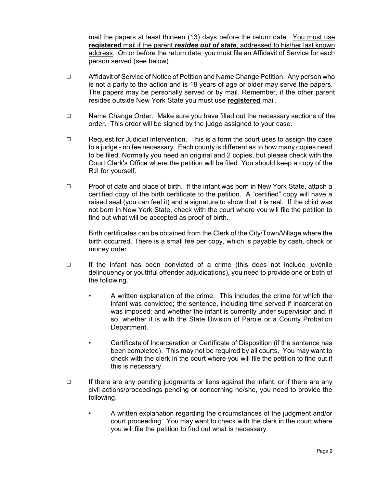mail the papers at least thirteen (13) days before the return date. You must use **registered** mail if the parent *resides out of state*, addressed to his/her last known address. On or before the return date, you must file an Affidavit of Service for each person served (see below).

- $\Box$  Affidavit of Service of Notice of Petition and Name Change Petition. Any person who is not a party to the action and is 18 years of age or older may serve the papers. The papers may be personally served or by mail. Remember, if the other parent resides outside New York State you must use **registered** mail.
- $\Box$  Name Change Order. Make sure you have filled out the necessary sections of the order. This order will be signed by the judge assigned to your case.
- $\Box$  Request for Judicial Intervention. This is a form the court uses to assign the case to a judge - no fee necessary. Each county is different as to how many copies need to be filed. Normally you need an original and 2 copies, but please check with the Court Clerk's Office where the petition will be filed. You should keep a copy of the RJI for yourself.
- Q Proof of date and place of birth. If the infant was born in New York State, attach a certified copy of the birth certificate to the petition. A "certified" copy will have a raised seal (you can feel it) and a signature to show that it is real. If the child was not born in New York State, check with the court where you will file the petition to find out what will be accepted as proof of birth.

Birth certificates can be obtained from the Clerk of the City/Town/Village where the birth occurred. There is a small fee per copy, which is payable by cash, check or money order.

- $\Box$  If the infant has been convicted of a crime (this does not include juvenile delinquency or youthful offender adjudications), you need to provide one or both of the following.
	- A written explanation of the crime. This includes the crime for which the infant was convicted; the sentence, including time served if incarceration was imposed; and whether the infant is currently under supervision and, if so, whether it is with the State Division of Parole or a County Probation Department.
	- Certificate of Incarceration or Certificate of Disposition (if the sentence has been completed). This may not be required by all courts. You may want to check with the clerk in the court where you will file the petition to find out if this is necessary.
- $\Box$  If there are any pending judgments or liens against the infant, or if there are any civil actions/proceedings pending or concerning he/she, you need to provide the following.
	- A written explanation regarding the circumstances of the judgment and/or court proceeding. You may want to check with the clerk in the court where you will file the petition to find out what is necessary.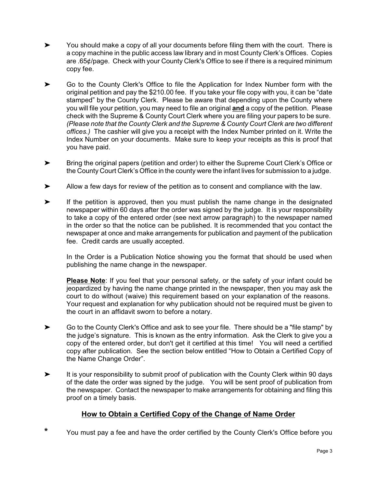- $\blacktriangleright$  You should make a copy of all your documents before filing them with the court. There is a copy machine in the public access law library and in most County Clerk's Offices. Copies are .65¢/page. Check with your County Clerk's Office to see if there is a required minimum copy fee.
- $\blacktriangleright$  Go to the County Clerk's Office to file the Application for Index Number form with the original petition and pay the \$210.00 fee. If you take your file copy with you, it can be "date stamped" by the County Clerk. Please be aware that depending upon the County where you will file your petition, you may need to file an original **and** a copy of the petition. Please check with the Supreme & County Court Clerk where you are filing your papers to be sure. *(Please note that the County Clerk and the Supreme & County Court Clerk are two different offices.)* The cashier will give you a receipt with the Index Number printed on it. Write the Index Number on your documents. Make sure to keep your receipts as this is proof that you have paid.
- $\blacktriangleright$  Bring the original papers (petition and order) to either the Supreme Court Clerk's Office or the County Court Clerk's Office in the county were the infant lives for submission to a judge.
- $\blacktriangleright$ Allow a few days for review of the petition as to consent and compliance with the law.
- $\blacktriangleright$  If the petition is approved, then you must publish the name change in the designated newspaper within 60 days after the order was signed by the judge. It is your responsibility to take a copy of the entered order (see next arrow paragraph) to the newspaper named in the order so that the notice can be published. It is recommended that you contact the newspaper at once and make arrangements for publication and payment of the publication fee. Credit cards are usually accepted.

In the Order is a Publication Notice showing you the format that should be used when publishing the name change in the newspaper.

**Please Note**: If you feel that your personal safety, or the safety of your infant could be jeopardized by having the name change printed in the newspaper, then you may ask the court to do without (waive) this requirement based on your explanation of the reasons. Your request and explanation for why publication should not be required must be given to the court in an affidavit sworn to before a notary.

- $\blacktriangleright$  Go to the County Clerk's Office and ask to see your file. There should be a "file stamp" by the judge's signature. This is known as the entry information. Ask the Clerk to give you a copy of the entered order, but don't get it certified at this time! You will need a certified copy after publication. See the section below entitled "How to Obtain a Certified Copy of the Name Change Order".
- $\blacktriangleright$  It is your responsibility to submit proof of publication with the County Clerk within 90 days of the date the order was signed by the judge. You will be sent proof of publication from the newspaper. Contact the newspaper to make arrangements for obtaining and filing this proof on a timely basis.

# **How to Obtain a Certified Copy of the Change of Name Order**

**\*** You must pay a fee and have the order certified by the County Clerk's Office before you